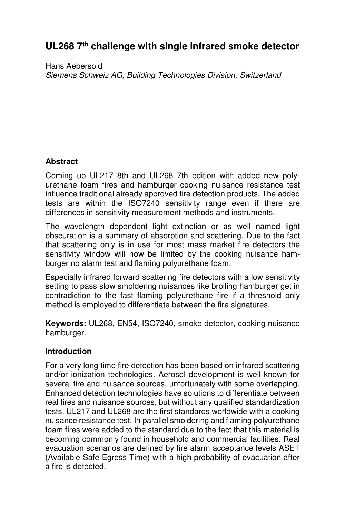# **UL268 7th challenge with single infrared smoke detector**

Hans Aebersold Siemens Schweiz AG, Building Technologies Division, Switzerland

# **Abstract**

Coming up UL217 8th and UL268 7th edition with added new polyurethane foam fires and hamburger cooking nuisance resistance test influence traditional already approved fire detection products. The added tests are within the ISO7240 sensitivity range even if there are differences in sensitivity measurement methods and instruments.

The wavelength dependent light extinction or as well named light obscuration is a summary of absorption and scattering. Due to the fact that scattering only is in use for most mass market fire detectors the sensitivity window will now be limited by the cooking nuisance hamburger no alarm test and flaming polyurethane foam.

Especially infrared forward scattering fire detectors with a low sensitivity setting to pass slow smoldering nuisances like broiling hamburger get in contradiction to the fast flaming polyurethane fire if a threshold only method is employed to differentiate between the fire signatures.

**Keywords:** UL268, EN54, ISO7240, smoke detector, cooking nuisance hamburger.

# **Introduction**

For a very long time fire detection has been based on infrared scattering and/or ionization technologies. Aerosol development is well known for several fire and nuisance sources, unfortunately with some overlapping. Enhanced detection technologies have solutions to differentiate between real fires and nuisance sources, but without any qualified standardization tests. UL217 and UL268 are the first standards worldwide with a cooking nuisance resistance test. In parallel smoldering and flaming polyurethane foam fires were added to the standard due to the fact that this material is becoming commonly found in household and commercial facilities. Real evacuation scenarios are defined by fire alarm acceptance levels ASET (Available Safe Egress Time) with a high probability of evacuation after a fire is detected.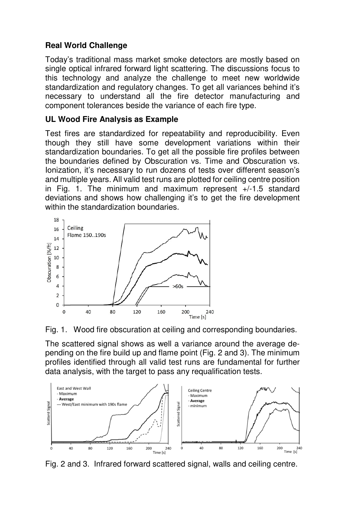# **Real World Challenge**

Today's traditional mass market smoke detectors are mostly based on single optical infrared forward light scattering. The discussions focus to this technology and analyze the challenge to meet new worldwide standardization and regulatory changes. To get all variances behind it's necessary to understand all the fire detector manufacturing and component tolerances beside the variance of each fire type.

# **UL Wood Fire Analysis as Example**

Test fires are standardized for repeatability and reproducibility. Even though they still have some development variations within their standardization boundaries. To get all the possible fire profiles between the boundaries defined by Obscuration vs. Time and Obscuration vs. Ionization, it's necessary to run dozens of tests over different season's and multiple years. All valid test runs are plotted for ceiling centre position in Fig. 1. The minimum and maximum represent +/-1.5 standard deviations and shows how challenging it's to get the fire development within the standardization boundaries.





The scattered signal shows as well a variance around the average depending on the fire build up and flame point (Fig. 2 and 3). The minimum profiles identified through all valid test runs are fundamental for further data analysis, with the target to pass any requalification tests.



Fig. 2 and 3. Infrared forward scattered signal, walls and ceiling centre.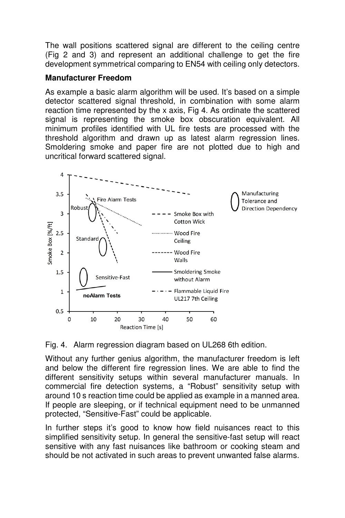The wall positions scattered signal are different to the ceiling centre (Fig 2 and 3) and represent an additional challenge to get the fire development symmetrical comparing to EN54 with ceiling only detectors.

#### **Manufacturer Freedom**

As example a basic alarm algorithm will be used. It's based on a simple detector scattered signal threshold, in combination with some alarm reaction time represented by the x axis, Fig 4. As ordinate the scattered signal is representing the smoke box obscuration equivalent. All minimum profiles identified with UL fire tests are processed with the threshold algorithm and drawn up as latest alarm regression lines. Smoldering smoke and paper fire are not plotted due to high and uncritical forward scattered signal.



Fig. 4. Alarm regression diagram based on UL268 6th edition.

Without any further genius algorithm, the manufacturer freedom is left and below the different fire regression lines. We are able to find the different sensitivity setups within several manufacturer manuals. In commercial fire detection systems, a "Robust" sensitivity setup with around 10 s reaction time could be applied as example in a manned area. If people are sleeping, or if technical equipment need to be unmanned protected, "Sensitive-Fast" could be applicable.

In further steps it's good to know how field nuisances react to this simplified sensitivity setup. In general the sensitive-fast setup will react sensitive with any fast nuisances like bathroom or cooking steam and should be not activated in such areas to prevent unwanted false alarms.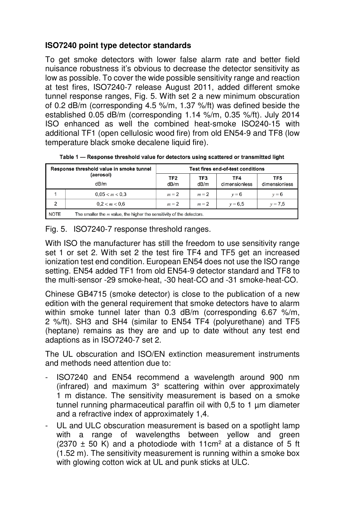# **ISO7240 point type detector standards**

To get smoke detectors with lower false alarm rate and better field nuisance robustness it's obvious to decrease the detector sensitivity as low as possible. To cover the wide possible sensitivity range and reaction at test fires, ISO7240-7 release August 2011, added different smoke tunnel response ranges, Fig. 5. With set 2 a new minimum obscuration of 0.2 dB/m (corresponding 4.5 %/m, 1.37 %/ft) was defined beside the established 0.05 dB/m (corresponding 1.14 %/m, 0.35 %/ft). July 2014 ISO enhanced as well the combined heat-smoke ISO240-15 with additional TF1 (open cellulosic wood fire) from old EN54-9 and TF8 (low temperature black smoke decalene liquid fire).

| Response threshold value in smoke tunnel<br>(aerosol)<br>dB/m |                                                                         | Test fires end-of-test conditions |             |                      |                      |
|---------------------------------------------------------------|-------------------------------------------------------------------------|-----------------------------------|-------------|----------------------|----------------------|
|                                                               |                                                                         | TF <sub>2</sub><br>dB/m           | TF3<br>dB/m | TF4<br>dimensionless | TF5<br>dimensionless |
|                                                               | 0.05 < m < 0.3                                                          | $m = 2$                           | $m = 2$     | $v = 6$              | $v = 6$              |
| $\overline{2}$                                                | 0.2 < m < 0.6                                                           | $m = 2$                           | $m = 2$     | $v = 6.5$            | $v = 7.5$            |
| NOTE                                                          | The smaller the $m$ value, the higher the sensitivity of the detectors. |                                   |             |                      |                      |

Table 1 - Response threshold value for detectors using scattered or transmitted light

Fig. 5. ISO7240-7 response threshold ranges.

With ISO the manufacturer has still the freedom to use sensitivity range set 1 or set 2. With set 2 the test fire TF4 and TF5 get an increased ionization test end condition. European EN54 does not use the ISO range setting. EN54 added TF1 from old EN54-9 detector standard and TF8 to the multi-sensor -29 smoke-heat, -30 heat-CO and -31 smoke-heat-CO.

Chinese GB4715 (smoke detector) is close to the publication of a new edition with the general requirement that smoke detectors have to alarm within smoke tunnel later than 0.3 dB/m (corresponding 6.67 %/m, 2 %/ft). SH3 and SH4 (similar to EN54 TF4 (polyurethane) and TF5 (heptane) remains as they are and up to date without any test end adaptions as in ISO7240-7 set 2.

The UL obscuration and ISO/EN extinction measurement instruments and methods need attention due to:

- ISO7240 and EN54 recommend a wavelength around 900 nm (infrared) and maximum 3° scattering within over approximately 1 m distance. The sensitivity measurement is based on a smoke tunnel running pharmaceutical paraffin oil with  $0.5$  to 1  $\mu$ m diameter and a refractive index of approximately 1,4.
- UL and ULC obscuration measurement is based on a spotlight lamp with a range of wavelengths between yellow and green  $(2370 \pm 50 \text{ K})$  and a photodiode with 11cm<sup>2</sup> at a distance of 5 ft (1.52 m). The sensitivity measurement is running within a smoke box with glowing cotton wick at UL and punk sticks at ULC.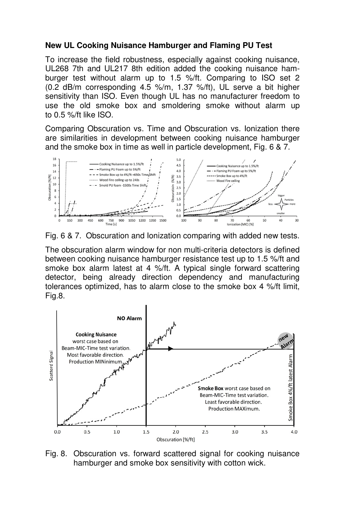#### **New UL Cooking Nuisance Hamburger and Flaming PU Test**

To increase the field robustness, especially against cooking nuisance, UL268 7th and UL217 8th edition added the cooking nuisance hamburger test without alarm up to 1.5 %/ft. Comparing to ISO set 2 (0.2 dB/m corresponding 4.5 %/m, 1.37 %/ft), UL serve a bit higher sensitivity than ISO. Even though UL has no manufacturer freedom to use the old smoke box and smoldering smoke without alarm up to 0.5 %/ft like ISO.

Comparing Obscuration vs. Time and Obscuration vs. Ionization there are similarities in development between cooking nuisance hamburger and the smoke box in time as well in particle development, Fig. 6 & 7.



Fig. 6 & 7. Obscuration and Ionization comparing with added new tests.

The obscuration alarm window for non multi-criteria detectors is defined between cooking nuisance hamburger resistance test up to 1.5 %/ft and smoke box alarm latest at 4 %/ft. A typical single forward scattering detector, being already direction dependency and manufacturing tolerances optimized, has to alarm close to the smoke box 4 %/ft limit, Fig.8.



Fig. 8. Obscuration vs. forward scattered signal for cooking nuisance hamburger and smoke box sensitivity with cotton wick.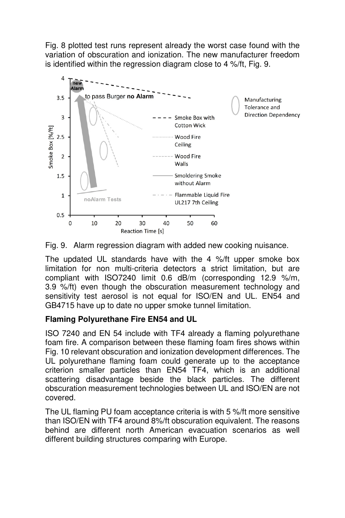Fig. 8 plotted test runs represent already the worst case found with the variation of obscuration and ionization. The new manufacturer freedom is identified within the regression diagram close to 4 %/ft, Fig. 9.





The updated UL standards have with the 4 %/ft upper smoke box limitation for non multi-criteria detectors a strict limitation, but are compliant with ISO7240 limit 0.6 dB/m (corresponding 12.9 %/m, 3.9 %/ft) even though the obscuration measurement technology and sensitivity test aerosol is not equal for ISO/EN and UL. EN54 and GB4715 have up to date no upper smoke tunnel limitation.

# **Flaming Polyurethane Fire EN54 and UL**

ISO 7240 and EN 54 include with TF4 already a flaming polyurethane foam fire. A comparison between these flaming foam fires shows within Fig. 10 relevant obscuration and ionization development differences. The UL polyurethane flaming foam could generate up to the acceptance criterion smaller particles than EN54 TF4, which is an additional scattering disadvantage beside the black particles. The different obscuration measurement technologies between UL and ISO/EN are not covered.

The UL flaming PU foam acceptance criteria is with 5 %/ft more sensitive than ISO/EN with TF4 around 8%/ft obscuration equivalent. The reasons behind are different north American evacuation scenarios as well different building structures comparing with Europe.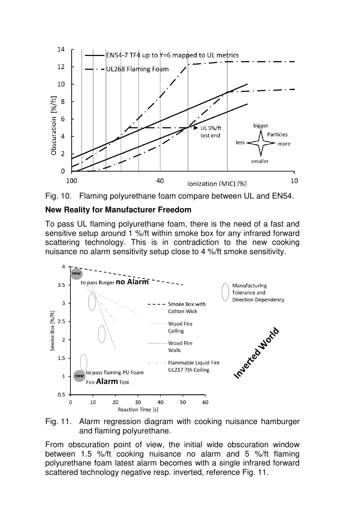



#### **New Reality for Manufacturer Freedom**

To pass UL flaming polyurethane foam, there is the need of a fast and sensitive setup around 1 %/ft within smoke box for any infrared forward scattering technology. This is in contradiction to the new cooking nuisance no alarm sensitivity setup close to 4 %/ft smoke sensitivity.



Fig. 11. Alarm regression diagram with cooking nuisance hamburger and flaming polyurethane.

From obscuration point of view, the initial wide obscuration window between 1.5 %/ft cooking nuisance no alarm and 5 %/ft flaming polyurethane foam latest alarm becomes with a single infrared forward scattered technology negative resp. inverted, reference Fig. 11.